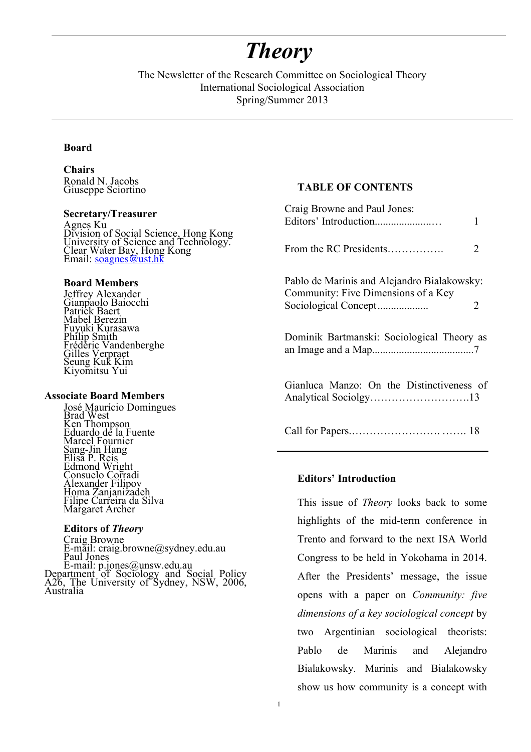# *Theory*

The Newsletter of the Research Committee on Sociological Theory International Sociological Association Spring/Summer 2013

#### **Board**

**Chairs** Ronald N. Jacobs Giuseppe Sciortino

#### **Secretary/Treasurer**

Agnes Ku Division of Social Science, Hong Kong University of Science and Technology. Clear Water Bay, Hong Kong Email: soagnes@ust.hk

#### **Board Members**

Jeffrey Alexander Gianpaolo Baiocchi Patrick Baert Mabel Berezin Fuyuki Kurasawa Philip Smith Frédéric Vandenberghe Gilles Verpraet Seung Kuk Kim Kiyomitsu Yui

#### **Associate Board Members**

José Maurício Domingues Brad West Ken Thompson Eduardo de la Fuente Marcel Fournier Sang-Jin Hang<br>Elisa P. Reis Edmond Wright Consuelo Corradi Alexander Filipov Homa Zanjanizadeh Filipe Carreira da Silva Margaret Archer

#### **Editors of** *Theory*

Craig Browne E-mail: craig.browne@sydney.edu.au Paul Jones E-mail: p.jones@unsw.edu.au Department of Sociology and Social Policy A26, The University of Sydney, NSW, 2006, Australia

## **TABLE OF CONTENTS**

| Craig Browne and Paul Jones:<br>Editors' Introduction                              | 1 |
|------------------------------------------------------------------------------------|---|
| From the RC Presidents                                                             | 2 |
| Pablo de Marinis and Alejandro Bialakowsky:<br>Community: Five Dimensions of a Key | 2 |
| Dominik Bartmanski: Sociological Theory as                                         |   |
| Gianluca Manzo: On the Distinctiveness of<br>Analytical Sociolgy13                 |   |
|                                                                                    |   |

#### **Editors' Introduction**

This issue of *Theory* looks back to some highlights of the mid-term conference in Trento and forward to the next ISA World Congress to be held in Yokohama in 2014. After the Presidents' message, the issue opens with a paper on *Community: five dimensions of a key sociological concept* by two Argentinian sociological theorists: Pablo de Marinis and Alejandro Bialakowsky. Marinis and Bialakowsky show us how community is a concept with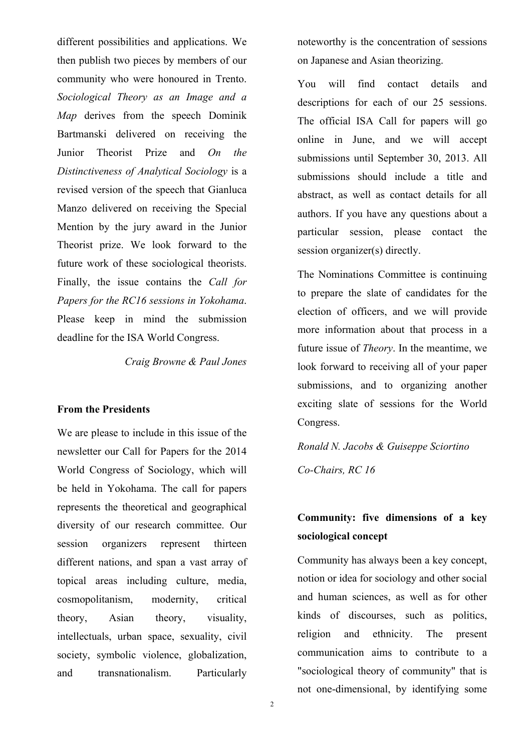different possibilities and applications. We then publish two pieces by members of our community who were honoured in Trento. *Sociological Theory as an Image and a Map* derives from the speech Dominik Bartmanski delivered on receiving the Junior Theorist Prize and *On the Distinctiveness of Analytical Sociology* is a revised version of the speech that Gianluca Manzo delivered on receiving the Special Mention by the jury award in the Junior Theorist prize. We look forward to the future work of these sociological theorists. Finally, the issue contains the *Call for Papers for the RC16 sessions in Yokohama*. Please keep in mind the submission deadline for the ISA World Congress.

*Craig Browne & Paul Jones*

### **From the Presidents**

We are please to include in this issue of the newsletter our Call for Papers for the 2014 World Congress of Sociology, which will be held in Yokohama. The call for papers represents the theoretical and geographical diversity of our research committee. Our session organizers represent thirteen different nations, and span a vast array of topical areas including culture, media, cosmopolitanism, modernity, critical theory, Asian theory, visuality, intellectuals, urban space, sexuality, civil society, symbolic violence, globalization, and transnationalism. Particularly

noteworthy is the concentration of sessions on Japanese and Asian theorizing.

You will find contact details and descriptions for each of our 25 sessions. The official ISA Call for papers will go online in June, and we will accept submissions until September 30, 2013. All submissions should include a title and abstract, as well as contact details for all authors. If you have any questions about a particular session, please contact the session organizer(s) directly.

The Nominations Committee is continuing to prepare the slate of candidates for the election of officers, and we will provide more information about that process in a future issue of *Theory*. In the meantime, we look forward to receiving all of your paper submissions, and to organizing another exciting slate of sessions for the World Congress.

*Ronald N. Jacobs & Guiseppe Sciortino Co-Chairs, RC 16*

# **Community: five dimensions of a key sociological concept**

Community has always been a key concept, notion or idea for sociology and other social and human sciences, as well as for other kinds of discourses, such as politics, religion and ethnicity. The present communication aims to contribute to a "sociological theory of community" that is not one-dimensional, by identifying some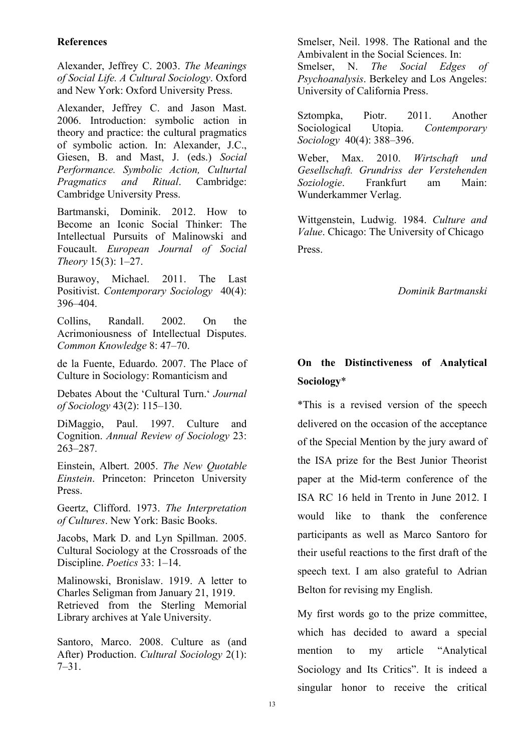# **References**

Alexander, Jeffrey C. 2003. *The Meanings of Social Life. A Cultural Sociology*. Oxford and New York: Oxford University Press.

Alexander, Jeffrey C. and Jason Mast. 2006. Introduction: symbolic action in theory and practice: the cultural pragmatics of symbolic action. In: Alexander, J.C., Giesen, B. and Mast, J. (eds.) *Social Performance. Symbolic Action, Culturtal Pragmatics and Ritual*. Cambridge: Cambridge University Press.

Bartmanski, Dominik. 2012. How to Become an Iconic Social Thinker: The Intellectual Pursuits of Malinowski and Foucault. *European Journal of Social Theory* 15(3): 1–27.

Burawoy, Michael. 2011. The Last Positivist. *Contemporary Sociology* 40(4): 396–404.

Collins, Randall. 2002. On the Acrimoniousness of Intellectual Disputes. *Common Knowledge* 8: 47–70.

de la Fuente, Eduardo. 2007. The Place of Culture in Sociology: Romanticism and

Debates About the 'Cultural Turn.' *Journal of Sociology* 43(2): 115–130.

DiMaggio, Paul. 1997. Culture and Cognition. *Annual Review of Sociology* 23: 263–287.

Einstein, Albert. 2005. *The New Quotable Einstein*. Princeton: Princeton University Press.

Geertz, Clifford. 1973. *The Interpretation of Cultures*. New York: Basic Books.

Jacobs, Mark D. and Lyn Spillman. 2005. Cultural Sociology at the Crossroads of the Discipline. *Poetics* 33: 1–14.

Malinowski, Bronislaw. 1919. A letter to Charles Seligman from January 21, 1919. Retrieved from the Sterling Memorial Library archives at Yale University.

Santoro, Marco. 2008. Culture as (and After) Production. *Cultural Sociology* 2(1): 7–31.

Smelser, Neil. 1998. The Rational and the Ambivalent in the Social Sciences. In: Smelser, N. *The Social Edges of Psychoanalysis*. Berkeley and Los Angeles: University of California Press.

Sztompka, Piotr. 2011. Another Sociological Utopia. *Contemporary Sociology* 40(4): 388–396.

Weber, Max. 2010. *Wirtschaft und Gesellschaft. Grundriss der Verstehenden Soziologie*. Frankfurt am Main: Wunderkammer Verlag.

Wittgenstein, Ludwig. 1984. *Culture and Value*. Chicago: The University of Chicago Press.

*Dominik Bartmanski* 

# **On the Distinctiveness of Analytical Sociology**\*

\*This is a revised version of the speech delivered on the occasion of the acceptance of the Special Mention by the jury award of the ISA prize for the Best Junior Theorist paper at the Mid-term conference of the ISA RC 16 held in Trento in June 2012. I would like to thank the conference participants as well as Marco Santoro for their useful reactions to the first draft of the speech text. I am also grateful to Adrian Belton for revising my English.

My first words go to the prize committee, which has decided to award a special mention to my article "Analytical Sociology and Its Critics". It is indeed a singular honor to receive the critical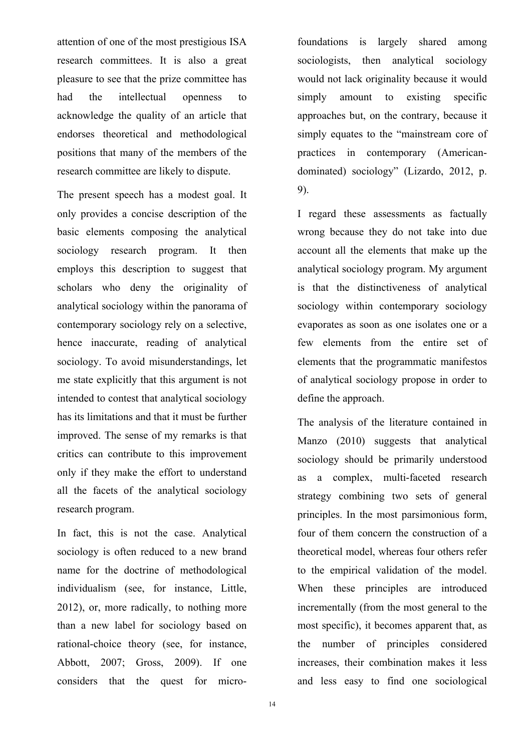attention of one of the most prestigious ISA research committees. It is also a great pleasure to see that the prize committee has had the intellectual openness to acknowledge the quality of an article that endorses theoretical and methodological positions that many of the members of the research committee are likely to dispute.

The present speech has a modest goal. It only provides a concise description of the basic elements composing the analytical sociology research program. It then employs this description to suggest that scholars who deny the originality of analytical sociology within the panorama of contemporary sociology rely on a selective, hence inaccurate, reading of analytical sociology. To avoid misunderstandings, let me state explicitly that this argument is not intended to contest that analytical sociology has its limitations and that it must be further improved. The sense of my remarks is that critics can contribute to this improvement only if they make the effort to understand all the facets of the analytical sociology research program.

In fact, this is not the case. Analytical sociology is often reduced to a new brand name for the doctrine of methodological individualism (see, for instance, Little, 2012), or, more radically, to nothing more than a new label for sociology based on rational-choice theory (see, for instance, Abbott, 2007; Gross, 2009). If one considers that the quest for microfoundations is largely shared among sociologists, then analytical sociology would not lack originality because it would simply amount to existing specific approaches but, on the contrary, because it simply equates to the "mainstream core of practices in contemporary (Americandominated) sociology" (Lizardo, 2012, p. 9).

I regard these assessments as factually wrong because they do not take into due account all the elements that make up the analytical sociology program. My argument is that the distinctiveness of analytical sociology within contemporary sociology evaporates as soon as one isolates one or a few elements from the entire set of elements that the programmatic manifestos of analytical sociology propose in order to define the approach.

The analysis of the literature contained in Manzo (2010) suggests that analytical sociology should be primarily understood as a complex, multi-faceted research strategy combining two sets of general principles. In the most parsimonious form, four of them concern the construction of a theoretical model, whereas four others refer to the empirical validation of the model. When these principles are introduced incrementally (from the most general to the most specific), it becomes apparent that, as the number of principles considered increases, their combination makes it less and less easy to find one sociological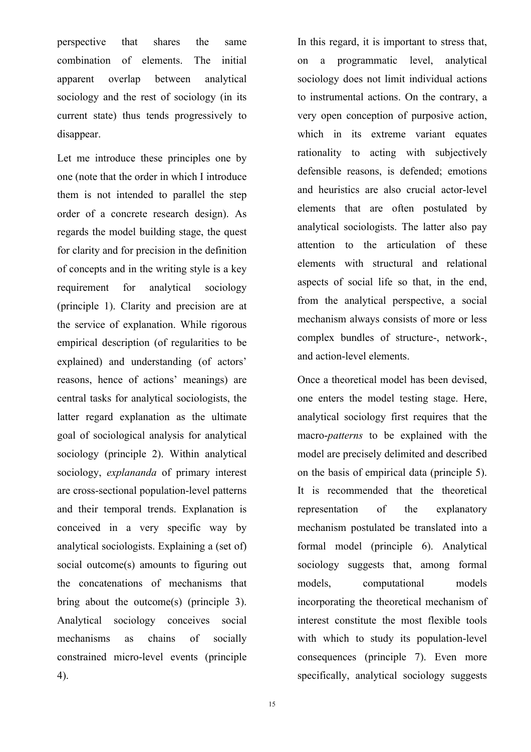perspective that shares the same combination of elements. The initial apparent overlap between analytical sociology and the rest of sociology (in its current state) thus tends progressively to disappear.

Let me introduce these principles one by one (note that the order in which I introduce them is not intended to parallel the step order of a concrete research design). As regards the model building stage, the quest for clarity and for precision in the definition of concepts and in the writing style is a key requirement for analytical sociology (principle 1). Clarity and precision are at the service of explanation. While rigorous empirical description (of regularities to be explained) and understanding (of actors' reasons, hence of actions' meanings) are central tasks for analytical sociologists, the latter regard explanation as the ultimate goal of sociological analysis for analytical sociology (principle 2). Within analytical sociology, *explananda* of primary interest are cross-sectional population-level patterns and their temporal trends. Explanation is conceived in a very specific way by analytical sociologists. Explaining a (set of) social outcome(s) amounts to figuring out the concatenations of mechanisms that bring about the outcome(s) (principle 3). Analytical sociology conceives social mechanisms as chains of socially constrained micro-level events (principle 4).

In this regard, it is important to stress that, on a programmatic level, analytical sociology does not limit individual actions to instrumental actions. On the contrary, a very open conception of purposive action, which in its extreme variant equates rationality to acting with subjectively defensible reasons, is defended; emotions and heuristics are also crucial actor-level elements that are often postulated by analytical sociologists. The latter also pay attention to the articulation of these elements with structural and relational aspects of social life so that, in the end, from the analytical perspective, a social mechanism always consists of more or less complex bundles of structure-, network-, and action-level elements.

Once a theoretical model has been devised, one enters the model testing stage. Here, analytical sociology first requires that the macro-*patterns* to be explained with the model are precisely delimited and described on the basis of empirical data (principle 5). It is recommended that the theoretical representation of the explanatory mechanism postulated be translated into a formal model (principle 6). Analytical sociology suggests that, among formal models, computational models incorporating the theoretical mechanism of interest constitute the most flexible tools with which to study its population-level consequences (principle 7). Even more specifically, analytical sociology suggests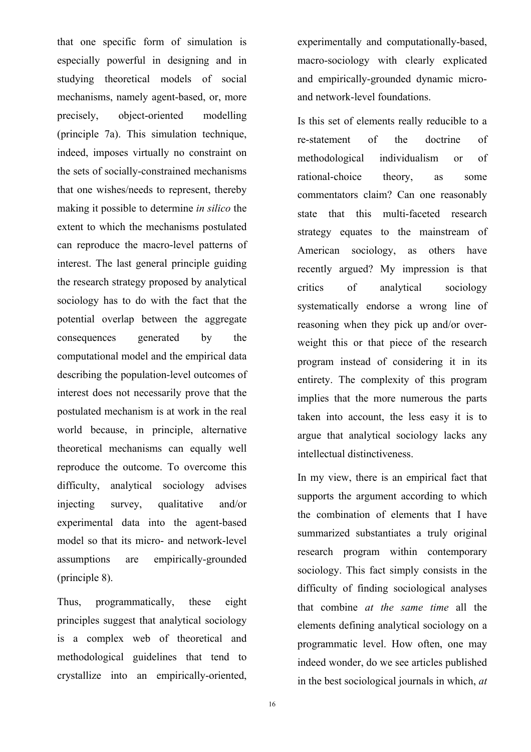that one specific form of simulation is especially powerful in designing and in studying theoretical models of social mechanisms, namely agent-based, or, more precisely, object-oriented modelling (principle 7a). This simulation technique, indeed, imposes virtually no constraint on the sets of socially-constrained mechanisms that one wishes/needs to represent, thereby making it possible to determine *in silico* the extent to which the mechanisms postulated can reproduce the macro-level patterns of interest. The last general principle guiding the research strategy proposed by analytical sociology has to do with the fact that the potential overlap between the aggregate consequences generated by the computational model and the empirical data describing the population-level outcomes of interest does not necessarily prove that the postulated mechanism is at work in the real world because, in principle, alternative theoretical mechanisms can equally well reproduce the outcome. To overcome this difficulty, analytical sociology advises injecting survey, qualitative and/or experimental data into the agent-based model so that its micro- and network-level assumptions are empirically-grounded (principle 8).

Thus, programmatically, these eight principles suggest that analytical sociology is a complex web of theoretical and methodological guidelines that tend to crystallize into an empirically-oriented,

experimentally and computationally-based, macro-sociology with clearly explicated and empirically-grounded dynamic microand network-level foundations.

Is this set of elements really reducible to a re-statement of the doctrine of methodological individualism or of rational-choice theory, as some commentators claim? Can one reasonably state that this multi-faceted research strategy equates to the mainstream of American sociology, as others have recently argued? My impression is that critics of analytical sociology systematically endorse a wrong line of reasoning when they pick up and/or overweight this or that piece of the research program instead of considering it in its entirety. The complexity of this program implies that the more numerous the parts taken into account, the less easy it is to argue that analytical sociology lacks any intellectual distinctiveness.

In my view, there is an empirical fact that supports the argument according to which the combination of elements that I have summarized substantiates a truly original research program within contemporary sociology. This fact simply consists in the difficulty of finding sociological analyses that combine *at the same time* all the elements defining analytical sociology on a programmatic level. How often, one may indeed wonder, do we see articles published in the best sociological journals in which, *at*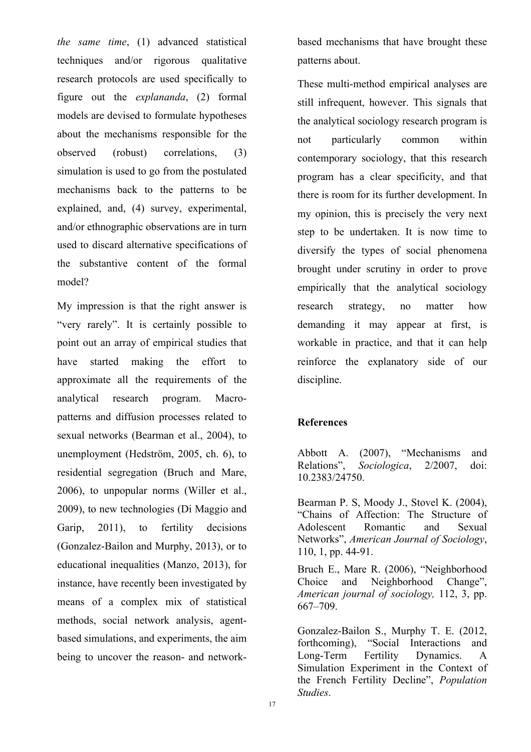*the same time*, (1) advanced statistical techniques and/or rigorous qualitative research protocols are used specifically to figure out the *explananda*, (2) formal models are devised to formulate hypotheses about the mechanisms responsible for the observed (robust) correlations, (3) simulation is used to go from the postulated mechanisms back to the patterns to be explained, and, (4) survey, experimental, and/or ethnographic observations are in turn used to discard alternative specifications of the substantive content of the formal model?

My impression is that the right answer is "very rarely". It is certainly possible to point out an array of empirical studies that have started making the effort to approximate all the requirements of the analytical research program. Macropatterns and diffusion processes related to sexual networks (Bearman et al., 2004), to unemployment (Hedström, 2005, ch. 6), to residential segregation (Bruch and Mare, 2006), to unpopular norms (Willer et al., 2009), to new technologies (Di Maggio and Garip, 2011), to fertility decisions (Gonzalez-Bailon and Murphy, 2013), or to educational inequalities (Manzo, 2013), for instance, have recently been investigated by means of a complex mix of statistical methods, social network analysis, agentbased simulations, and experiments, the aim being to uncover the reason- and networkbased mechanisms that have brought these patterns about.

These multi-method empirical analyses are still infrequent, however. This signals that the analytical sociology research program is not particularly common within contemporary sociology, that this research program has a clear specificity, and that there is room for its further development. In my opinion, this is precisely the very next step to be undertaken. It is now time to diversify the types of social phenomena brought under scrutiny in order to prove empirically that the analytical sociology research strategy, no matter how demanding it may appear at first, is workable in practice, and that it can help reinforce the explanatory side of our discipline.

# **References**

Abbott A. (2007), "Mechanisms and Relations", *Sociologica*, 2/2007, doi: 10.2383/24750.

Bearman P. S, Moody J., Stovel K. (2004), "Chains of Affection: The Structure of Adolescent Romantic and Sexual Networks", *American Journal of Sociology*, 110, 1, pp. 44-91.

Bruch E., Mare R. (2006), "Neighborhood Choice and Neighborhood Change", *American journal of sociology,* 112, 3, pp. 667–709.

Gonzalez-Bailon S., Murphy T. E. (2012, forthcoming), "Social Interactions and Long-Term Fertility Dynamics. A Simulation Experiment in the Context of the French Fertility Decline", *Population Studies*.